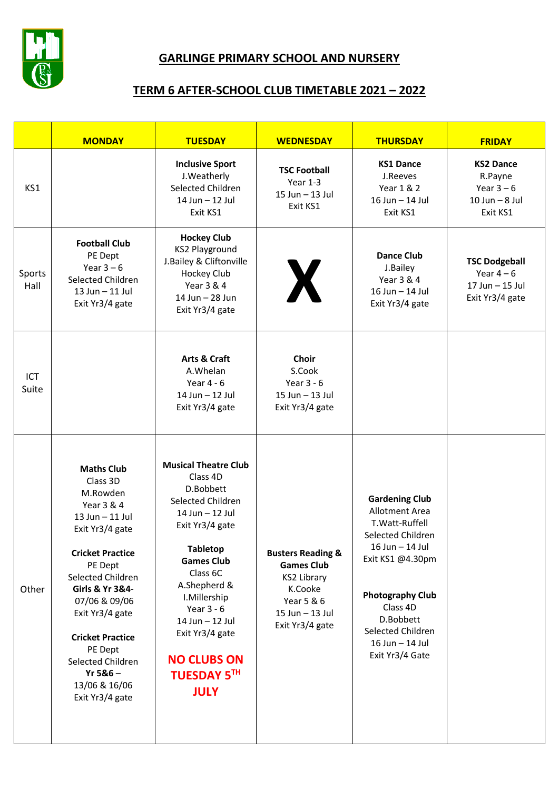

## **GARLINGE PRIMARY SCHOOL AND NURSERY**

## **TERM 6 AFTER-SCHOOL CLUB TIMETABLE 2021 – 2022**

|                | <b>MONDAY</b>                                                                                                                                                                                                                                                                                                                  | <b>TUESDAY</b>                                                                                                                                                                                                                                                                                                       | <b>WEDNESDAY</b>                                                                                                                       | <b>THURSDAY</b>                                                                                                                                                                                                                       | <b>FRIDAY</b>                                                               |
|----------------|--------------------------------------------------------------------------------------------------------------------------------------------------------------------------------------------------------------------------------------------------------------------------------------------------------------------------------|----------------------------------------------------------------------------------------------------------------------------------------------------------------------------------------------------------------------------------------------------------------------------------------------------------------------|----------------------------------------------------------------------------------------------------------------------------------------|---------------------------------------------------------------------------------------------------------------------------------------------------------------------------------------------------------------------------------------|-----------------------------------------------------------------------------|
| KS1            |                                                                                                                                                                                                                                                                                                                                | <b>Inclusive Sport</b><br>J. Weatherly<br>Selected Children<br>14 Jun - 12 Jul<br>Exit KS1                                                                                                                                                                                                                           | <b>TSC Football</b><br>Year 1-3<br>15 Jun - 13 Jul<br>Exit KS1                                                                         | <b>KS1 Dance</b><br>J.Reeves<br>Year 1 & 2<br>16 Jun - 14 Jul<br>Exit KS1                                                                                                                                                             | <b>KS2 Dance</b><br>R.Payne<br>Year $3-6$<br>$10$ Jun $-8$ Jul<br>Exit KS1  |
| Sports<br>Hall | <b>Football Club</b><br>PE Dept<br>Year $3-6$<br>Selected Children<br>13 Jun - 11 Jul<br>Exit Yr3/4 gate                                                                                                                                                                                                                       | <b>Hockey Club</b><br><b>KS2 Playground</b><br>J.Bailey & Cliftonville<br>Hockey Club<br>Year 3 & 4<br>14 Jun - 28 Jun<br>Exit Yr3/4 gate                                                                                                                                                                            | X                                                                                                                                      | <b>Dance Club</b><br>J.Bailey<br>Year 3 & 4<br>16 Jun - 14 Jul<br>Exit Yr3/4 gate                                                                                                                                                     | <b>TSC Dodgeball</b><br>Year $4-6$<br>$17$ Jun $-15$ Jul<br>Exit Yr3/4 gate |
| ICT<br>Suite   |                                                                                                                                                                                                                                                                                                                                | Arts & Craft<br>A.Whelan<br>Year $4 - 6$<br>14 Jun - 12 Jul<br>Exit Yr3/4 gate                                                                                                                                                                                                                                       | <b>Choir</b><br>S.Cook<br>Year $3 - 6$<br>15 Jun - 13 Jul<br>Exit Yr3/4 gate                                                           |                                                                                                                                                                                                                                       |                                                                             |
| Other          | <b>Maths Club</b><br>Class 3D<br>M.Rowden<br>Year 3 & 4<br>13 Jun - 11 Jul<br>Exit Yr3/4 gate<br><b>Cricket Practice</b><br>PE Dept<br>Selected Children<br>Girls & Yr 3&4-<br>07/06 & 09/06<br>Exit Yr3/4 gate<br><b>Cricket Practice</b><br>PE Dept<br>Selected Children<br>$Yr$ 5&6 $-$<br>13/06 & 16/06<br>Exit Yr3/4 gate | <b>Musical Theatre Club</b><br>Class 4D<br>D.Bobbett<br>Selected Children<br>14 Jun - 12 Jul<br>Exit Yr3/4 gate<br><b>Tabletop</b><br><b>Games Club</b><br>Class 6C<br>A.Shepherd &<br>I.Millership<br>Year $3 - 6$<br>14 Jun - 12 Jul<br>Exit Yr3/4 gate<br><b>NO CLUBS ON</b><br><b>TUESDAY 5TH</b><br><b>JULY</b> | <b>Busters Reading &amp;</b><br><b>Games Club</b><br><b>KS2 Library</b><br>K.Cooke<br>Year 5 & 6<br>15 Jun - 13 Jul<br>Exit Yr3/4 gate | <b>Gardening Club</b><br>Allotment Area<br>T. Watt-Ruffell<br>Selected Children<br>16 Jun - 14 Jul<br>Exit KS1 @4.30pm<br><b>Photography Club</b><br>Class 4D<br>D.Bobbett<br>Selected Children<br>16 Jun - 14 Jul<br>Exit Yr3/4 Gate |                                                                             |